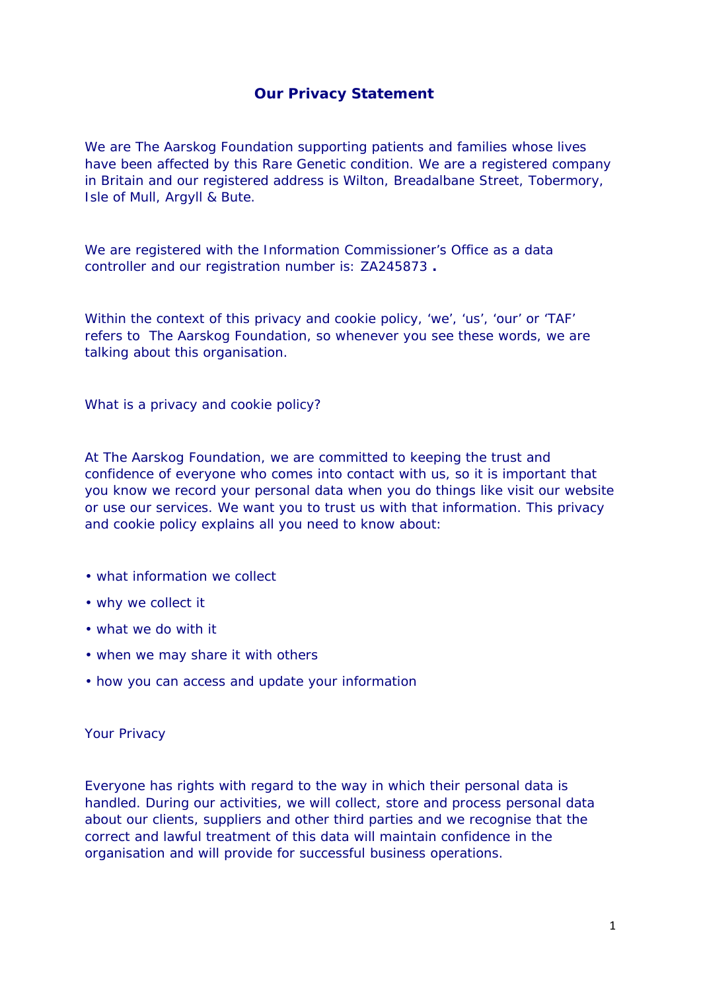## **Our Privacy Statement**

We are The Aarskog Foundation supporting patients and families whose lives have been affected by this Rare Genetic condition. We are a registered company in Britain and our registered address is Wilton, Breadalbane Street, Tobermory, Isle of Mull, Argyll & Bute.

We are registered with the Information Commissioner's Office as a data controller and our registration number is: ZA245873 **.**

Within the context of this privacy and cookie policy, 'we', 'us', 'our' or 'TAF' refers to The Aarskog Foundation, so whenever you see these words, we are talking about this organisation.

What is a privacy and cookie policy?

At The Aarskog Foundation, we are committed to keeping the trust and confidence of everyone who comes into contact with us, so it is important that you know we record your personal data when you do things like visit our website or use our services. We want you to trust us with that information. This privacy and cookie policy explains all you need to know about:

- what information we collect
- why we collect it
- what we do with it
- when we may share it with others
- how you can access and update your information

Your Privacy

Everyone has rights with regard to the way in which their personal data is handled. During our activities, we will collect, store and process personal data about our clients, suppliers and other third parties and we recognise that the correct and lawful treatment of this data will maintain confidence in the organisation and will provide for successful business operations.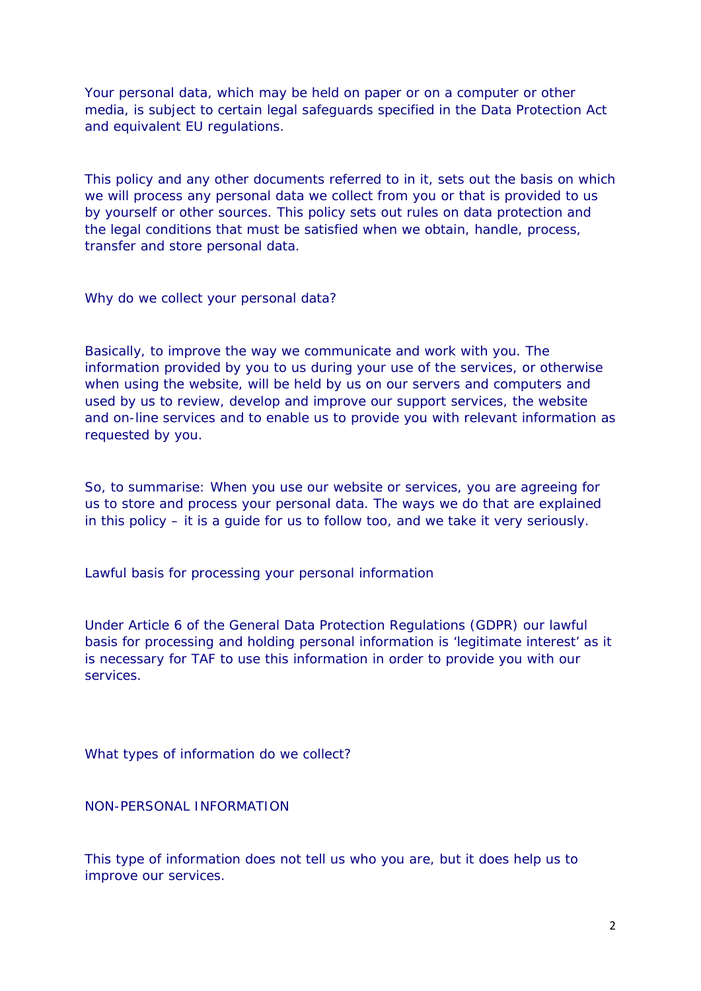Your personal data, which may be held on paper or on a computer or other media, is subject to certain legal safeguards specified in the Data Protection Act and equivalent EU regulations.

This policy and any other documents referred to in it, sets out the basis on which we will process any personal data we collect from you or that is provided to us by yourself or other sources. This policy sets out rules on data protection and the legal conditions that must be satisfied when we obtain, handle, process, transfer and store personal data.

Why do we collect your personal data?

Basically, to improve the way we communicate and work with you. The information provided by you to us during your use of the services, or otherwise when using the website, will be held by us on our servers and computers and used by us to review, develop and improve our support services, the website and on-line services and to enable us to provide you with relevant information as requested by you.

So, to summarise: When you use our website or services, you are agreeing for us to store and process your personal data. The ways we do that are explained in this policy – it is a guide for us to follow too, and we take it very seriously.

Lawful basis for processing your personal information

Under Article 6 of the General Data Protection Regulations (GDPR) our lawful basis for processing and holding personal information is 'legitimate interest' as it is necessary for TAF to use this information in order to provide you with our services.

What types of information do we collect?

NON-PERSONAL INFORMATION

This type of information does not tell us who you are, but it does help us to improve our services.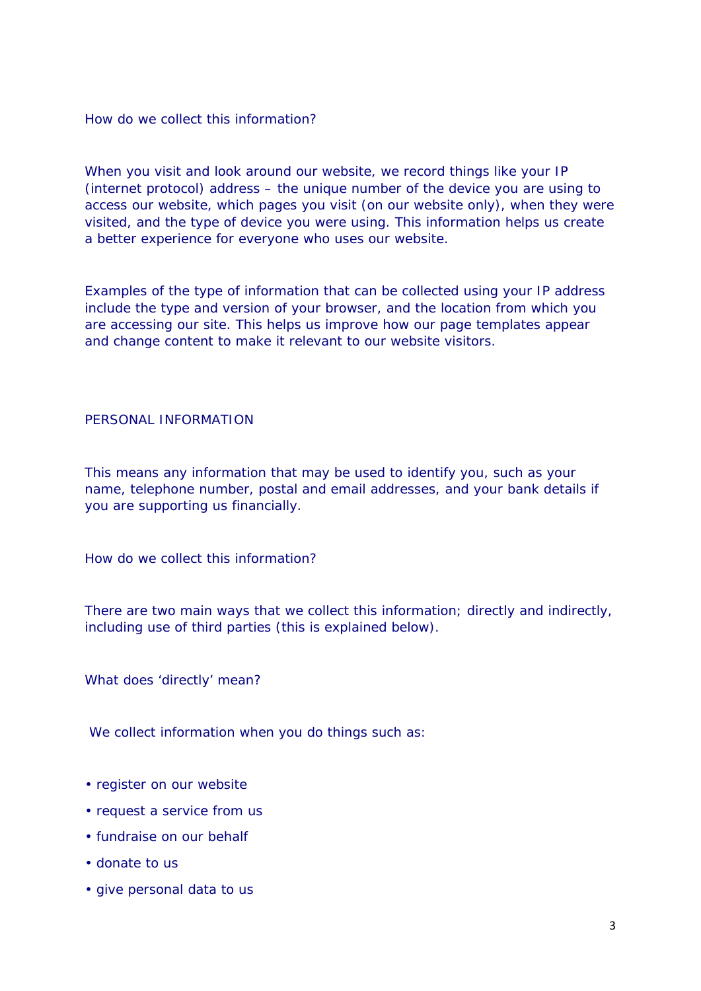How do we collect this information?

When you visit and look around our website, we record things like your IP (internet protocol) address – the unique number of the device you are using to access our website, which pages you visit (on our website only), when they were visited, and the type of device you were using. This information helps us create a better experience for everyone who uses our website.

Examples of the type of information that can be collected using your IP address include the type and version of your browser, and the location from which you are accessing our site. This helps us improve how our page templates appear and change content to make it relevant to our website visitors.

## PERSONAL INFORMATION

This means any information that may be used to identify you, such as your name, telephone number, postal and email addresses, and your bank details if you are supporting us financially.

How do we collect this information?

There are two main ways that we collect this information; directly and indirectly, including use of third parties (this is explained below).

What does 'directly' mean?

We collect information when you do things such as:

- register on our website
- request a service from us
- fundraise on our behalf
- donate to us
- give personal data to us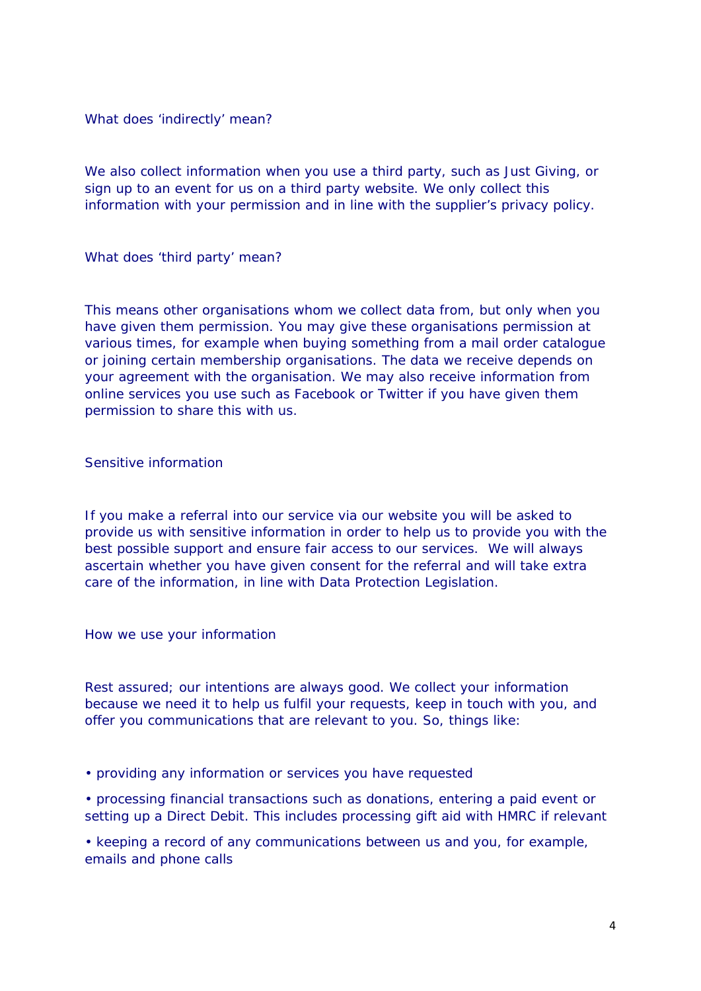What does 'indirectly' mean?

We also collect information when you use a third party, such as Just Giving, or sign up to an event for us on a third party website. We only collect this information with your permission and in line with the supplier's privacy policy.

What does 'third party' mean?

This means other organisations whom we collect data from, but only when you have given them permission. You may give these organisations permission at various times, for example when buying something from a mail order catalogue or joining certain membership organisations. The data we receive depends on your agreement with the organisation. We may also receive information from online services you use such as Facebook or Twitter if you have given them permission to share this with us.

Sensitive information

If you make a referral into our service via our website you will be asked to provide us with sensitive information in order to help us to provide you with the best possible support and ensure fair access to our services. We will always ascertain whether you have given consent for the referral and will take extra care of the information, in line with Data Protection Legislation.

How we use your information

Rest assured; our intentions are always good. We collect your information because we need it to help us fulfil your requests, keep in touch with you, and offer you communications that are relevant to you. So, things like:

• providing any information or services you have requested

• processing financial transactions such as donations, entering a paid event or setting up a Direct Debit. This includes processing gift aid with HMRC if relevant

• keeping a record of any communications between us and you, for example, emails and phone calls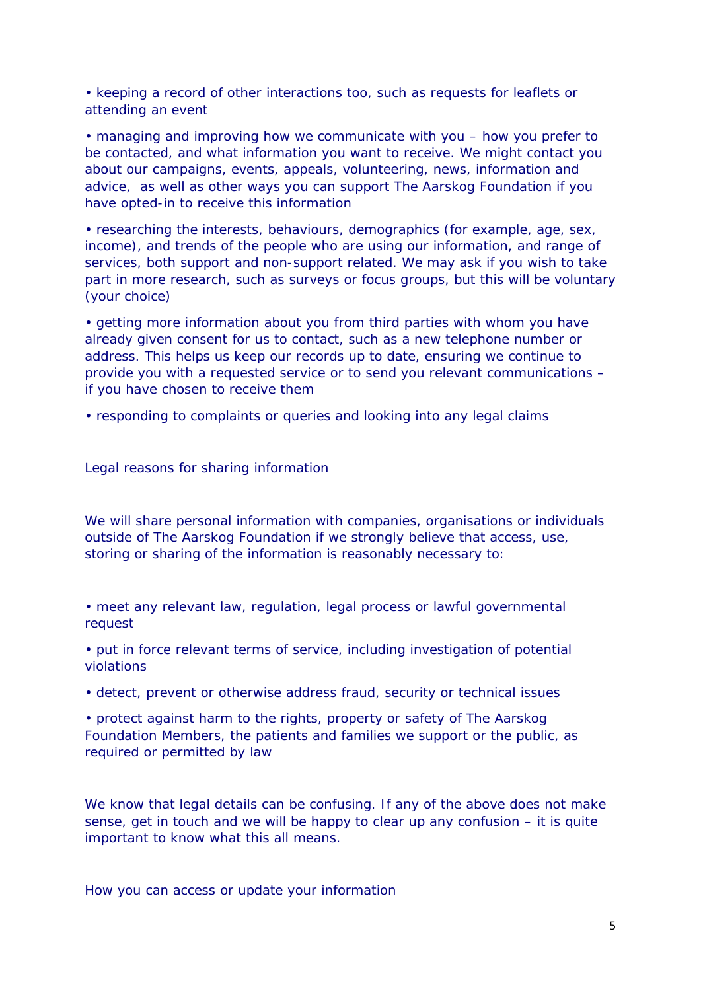• keeping a record of other interactions too, such as requests for leaflets or attending an event

• managing and improving how we communicate with you – how you prefer to be contacted, and what information you want to receive. We might contact you about our campaigns, events, appeals, volunteering, news, information and advice, as well as other ways you can support The Aarskog Foundation if you have opted-in to receive this information

• researching the interests, behaviours, demographics (for example, age, sex, income), and trends of the people who are using our information, and range of services, both support and non-support related. We may ask if you wish to take part in more research, such as surveys or focus groups, but this will be voluntary (your choice)

• getting more information about you from third parties with whom you have already given consent for us to contact, such as a new telephone number or address. This helps us keep our records up to date, ensuring we continue to provide you with a requested service or to send you relevant communications – if you have chosen to receive them

• responding to complaints or queries and looking into any legal claims

Legal reasons for sharing information

We will share personal information with companies, organisations or individuals outside of The Aarskog Foundation if we strongly believe that access, use, storing or sharing of the information is reasonably necessary to:

• meet any relevant law, regulation, legal process or lawful governmental request

• put in force relevant terms of service, including investigation of potential violations

• detect, prevent or otherwise address fraud, security or technical issues

• protect against harm to the rights, property or safety of The Aarskog Foundation Members, the patients and families we support or the public, as required or permitted by law

We know that legal details can be confusing. If any of the above does not make sense, get in touch and we will be happy to clear up any confusion – it is quite important to know what this all means.

How you can access or update your information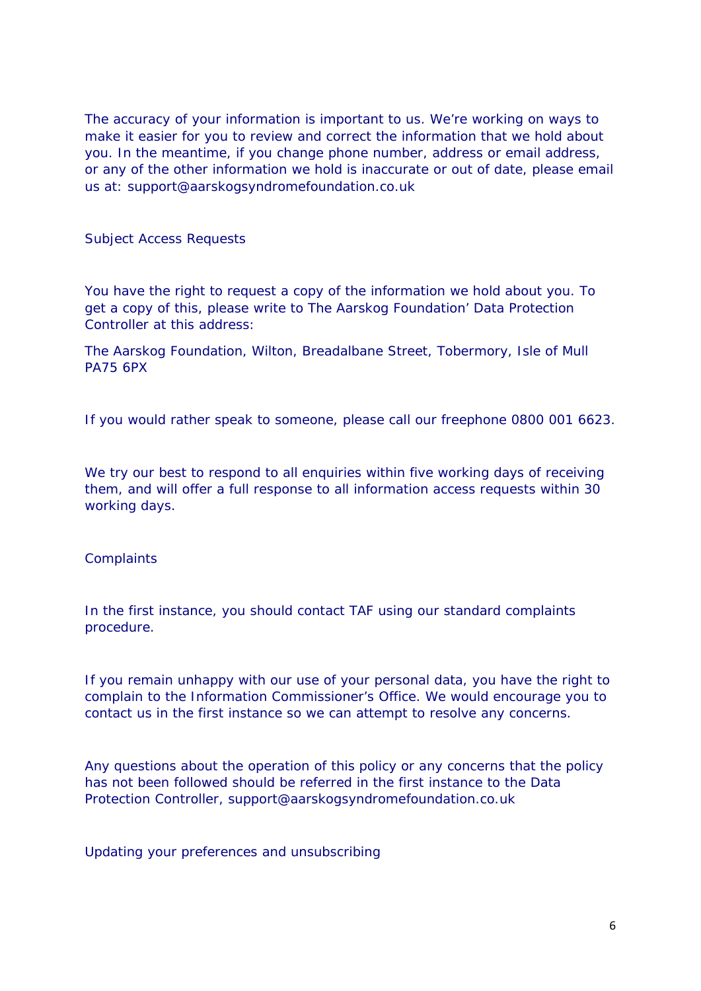The accuracy of your information is important to us. We're working on ways to make it easier for you to review and correct the information that we hold about you. In the meantime, if you change phone number, address or email address, or any of the other information we hold is inaccurate or out of date, please email us at: support@aarskogsyndromefoundation.co.uk

Subject Access Requests

You have the right to request a copy of the information we hold about you. To get a copy of this, please write to The Aarskog Foundation' Data Protection Controller at this address:

The Aarskog Foundation, Wilton, Breadalbane Street, Tobermory, Isle of Mull PA75 6PX

If you would rather speak to someone, please call our freephone 0800 001 6623.

We try our best to respond to all enquiries within five working days of receiving them, and will offer a full response to all information access requests within 30 working days.

**Complaints** 

In the first instance, you should contact TAF using our standard complaints procedure.

If you remain unhappy with our use of your personal data, you have the right to complain to the Information Commissioner's Office. We would encourage you to contact us in the first instance so we can attempt to resolve any concerns.

Any questions about the operation of this policy or any concerns that the policy has not been followed should be referred in the first instance to the Data Protection Controller, support@aarskogsyndromefoundation.co.uk

Updating your preferences and unsubscribing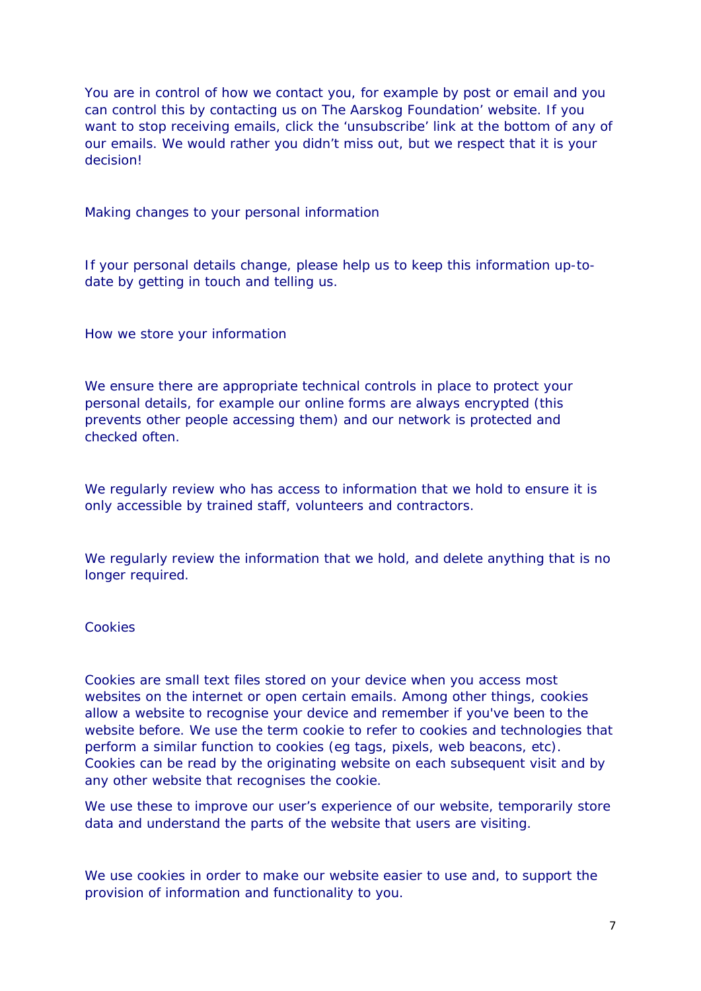You are in control of how we contact you, for example by post or email and you can control this by contacting us on The Aarskog Foundation' website. If you want to stop receiving emails, click the 'unsubscribe' link at the bottom of any of our emails. We would rather you didn't miss out, but we respect that it is your decision!

Making changes to your personal information

If your personal details change, please help us to keep this information up-todate by getting in touch and telling us.

How we store your information

We ensure there are appropriate technical controls in place to protect your personal details, for example our online forms are always encrypted (this prevents other people accessing them) and our network is protected and checked often.

We regularly review who has access to information that we hold to ensure it is only accessible by trained staff, volunteers and contractors.

We regularly review the information that we hold, and delete anything that is no longer required.

## Cookies

Cookies are small text files stored on your device when you access most websites on the internet or open certain emails. Among other things, cookies allow a website to recognise your device and remember if you've been to the website before. We use the term cookie to refer to cookies and technologies that perform a similar function to cookies (eg tags, pixels, web beacons, etc). Cookies can be read by the originating website on each subsequent visit and by any other website that recognises the cookie.

We use these to improve our user's experience of our website, temporarily store data and understand the parts of the website that users are visiting.

We use cookies in order to make our website easier to use and, to support the provision of information and functionality to you.